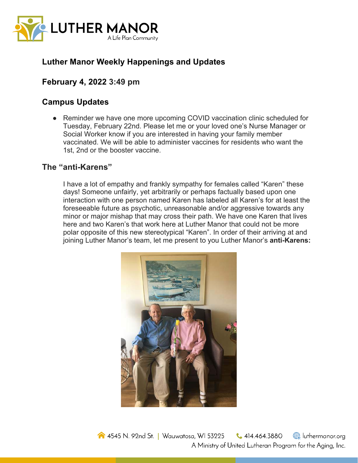

# **Luther Manor Weekly Happenings and Updates**

## **February 4, 2022 3:49 pm**

## **Campus Updates**

• Reminder we have one more upcoming COVID vaccination clinic scheduled for Tuesday, February 22nd. Please let me or your loved one's Nurse Manager or Social Worker know if you are interested in having your family member vaccinated. We will be able to administer vaccines for residents who want the 1st, 2nd or the booster vaccine.

#### **The "anti-Karens"**

I have a lot of empathy and frankly sympathy for females called "Karen" these days! Someone unfairly, yet arbitrarily or perhaps factually based upon one interaction with one person named Karen has labeled all Karen's for at least the foreseeable future as psychotic, unreasonable and/or aggressive towards any minor or major mishap that may cross their path. We have one Karen that lives here and two Karen's that work here at Luther Manor that could not be more polar opposite of this new stereotypical "Karen". In order of their arriving at and joining Luther Manor's team, let me present to you Luther Manor's **anti-Karens:**

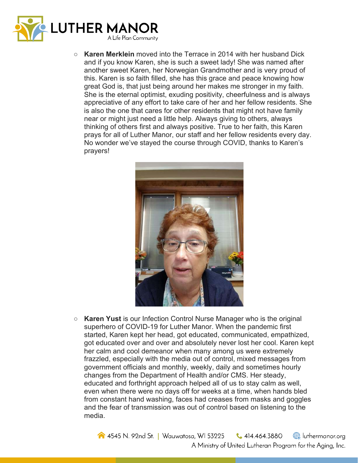

**Karen Merklein** moved into the Terrace in 2014 with her husband Dick and if you know Karen, she is such a sweet lady! She was named after another sweet Karen, her Norwegian Grandmother and is very proud of this. Karen is so faith filled, she has this grace and peace knowing how great God is, that just being around her makes me stronger in my faith. She is the eternal optimist, exuding positivity, cheerfulness and is always appreciative of any effort to take care of her and her fellow residents. She is also the one that cares for other residents that might not have family near or might just need a little help. Always giving to others, always thinking of others first and always positive. True to her faith, this Karen prays for all of Luther Manor, our staff and her fellow residents every day. No wonder we've stayed the course through COVID, thanks to Karen's prayers!



○ **Karen Yust** is our Infection Control Nurse Manager who is the original superhero of COVID-19 for Luther Manor. When the pandemic first started, Karen kept her head, got educated, communicated, empathized, got educated over and over and absolutely never lost her cool. Karen kept her calm and cool demeanor when many among us were extremely frazzled, especially with the media out of control, mixed messages from government officials and monthly, weekly, daily and sometimes hourly changes from the Department of Health and/or CMS. Her steady, educated and forthright approach helped all of us to stay calm as well, even when there were no days off for weeks at a time, when hands bled from constant hand washing, faces had creases from masks and goggles and the fear of transmission was out of control based on listening to the media.

4545 N. 92nd St. | Wauwatosa, WI 53225  $\bigcup$  414.464.3880 uthermanor.org A Ministry of United Lutheran Program for the Aging, Inc.